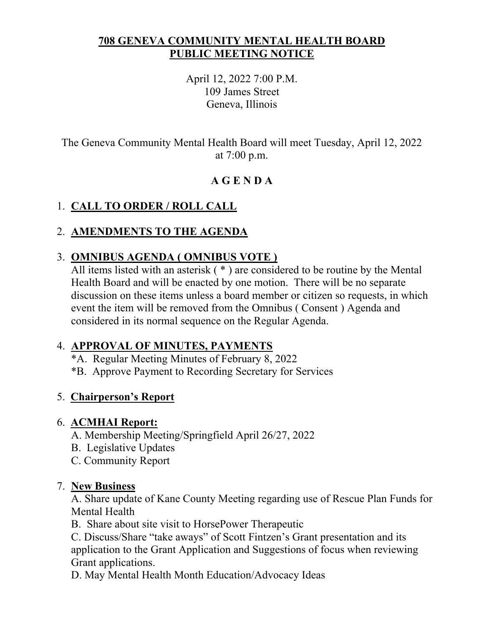#### **708 GENEVA COMMUNITY MENTAL HEALTH BOARD PUBLIC MEETING NOTICE**

April 12, 2022 7:00 P.M. 109 James Street Geneva, Illinois

The Geneva Community Mental Health Board will meet Tuesday, April 12, 2022 at 7:00 p.m.

# **A G E N D A**

# 1. **CALL TO ORDER / ROLL CALL**

## 2. **AMENDMENTS TO THE AGENDA**

## 3. **OMNIBUS AGENDA ( OMNIBUS VOTE )**

All items listed with an asterisk ( \* ) are considered to be routine by the Mental Health Board and will be enacted by one motion. There will be no separate discussion on these items unless a board member or citizen so requests, in which event the item will be removed from the Omnibus ( Consent ) Agenda and considered in its normal sequence on the Regular Agenda.

### 4. **APPROVAL OF MINUTES, PAYMENTS**

- \*A. Regular Meeting Minutes of February 8, 2022
- \*B. Approve Payment to Recording Secretary for Services

## 5. **Chairperson's Report**

### 6. **ACMHAI Report:**

- A. Membership Meeting/Springfield April 26/27, 2022
- B. Legislative Updates
- C. Community Report

### 7. **New Business**

A. Share update of Kane County Meeting regarding use of Rescue Plan Funds for Mental Health

B. Share about site visit to HorsePower Therapeutic

C. Discuss/Share "take aways" of Scott Fintzen's Grant presentation and its application to the Grant Application and Suggestions of focus when reviewing Grant applications.

D. May Mental Health Month Education/Advocacy Ideas